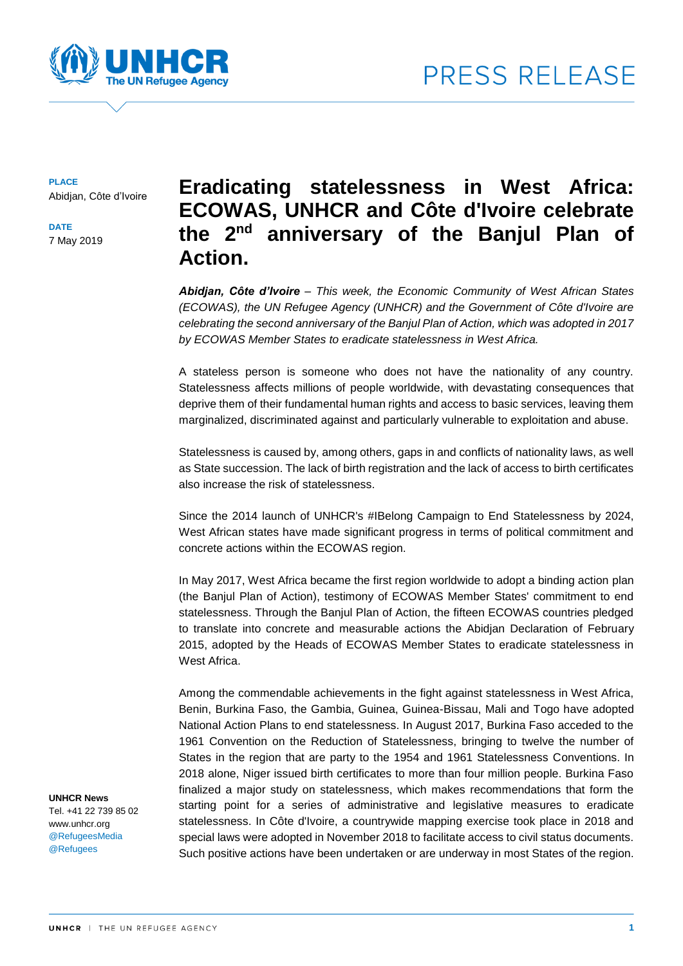



**PLACE** Abidjan, Côte d'Ivoire

**DATE** 7 May 2019

# **Eradicating statelessness in West Africa: ECOWAS, UNHCR and Côte d'Ivoire celebrate the 2nd anniversary of the Banjul Plan of Action.**

*Abidjan, Côte d'Ivoire – This week, the Economic Community of West African States (ECOWAS), the UN Refugee Agency (UNHCR) and the Government of Côte d'Ivoire are celebrating the second anniversary of the Banjul Plan of Action, which was adopted in 2017 by ECOWAS Member States to eradicate statelessness in West Africa.*

A stateless person is someone who does not have the nationality of any country. Statelessness affects millions of people worldwide, with devastating consequences that deprive them of their fundamental human rights and access to basic services, leaving them marginalized, discriminated against and particularly vulnerable to exploitation and abuse.

Statelessness is caused by, among others, gaps in and conflicts of nationality laws, as well as State succession. The lack of birth registration and the lack of access to birth certificates also increase the risk of statelessness.

Since the 2014 launch of UNHCR's #IBelong Campaign to End Statelessness by 2024, West African states have made significant progress in terms of political commitment and concrete actions within the ECOWAS region.

In May 2017, West Africa became the first region worldwide to adopt a binding action plan (the Banjul Plan of Action), testimony of ECOWAS Member States' commitment to end statelessness. Through the Banjul Plan of Action, the fifteen ECOWAS countries pledged to translate into concrete and measurable actions the Abidjan Declaration of February 2015, adopted by the Heads of ECOWAS Member States to eradicate statelessness in West Africa.

Among the commendable achievements in the fight against statelessness in West Africa, Benin, Burkina Faso, the Gambia, Guinea, Guinea-Bissau, Mali and Togo have adopted National Action Plans to end statelessness. In August 2017, Burkina Faso acceded to the 1961 Convention on the Reduction of Statelessness, bringing to twelve the number of States in the region that are party to the 1954 and 1961 Statelessness Conventions. In 2018 alone, Niger issued birth certificates to more than four million people. Burkina Faso finalized a major study on statelessness, which makes recommendations that form the starting point for a series of administrative and legislative measures to eradicate statelessness. In Côte d'Ivoire, a countrywide mapping exercise took place in 2018 and special laws were adopted in November 2018 to facilitate access to civil status documents. Such positive actions have been undertaken or are underway in most States of the region.

**UNHCR News** 

Tel. +41 22 739 85 02 www.unhcr.org @RefugeesMedia @Refugees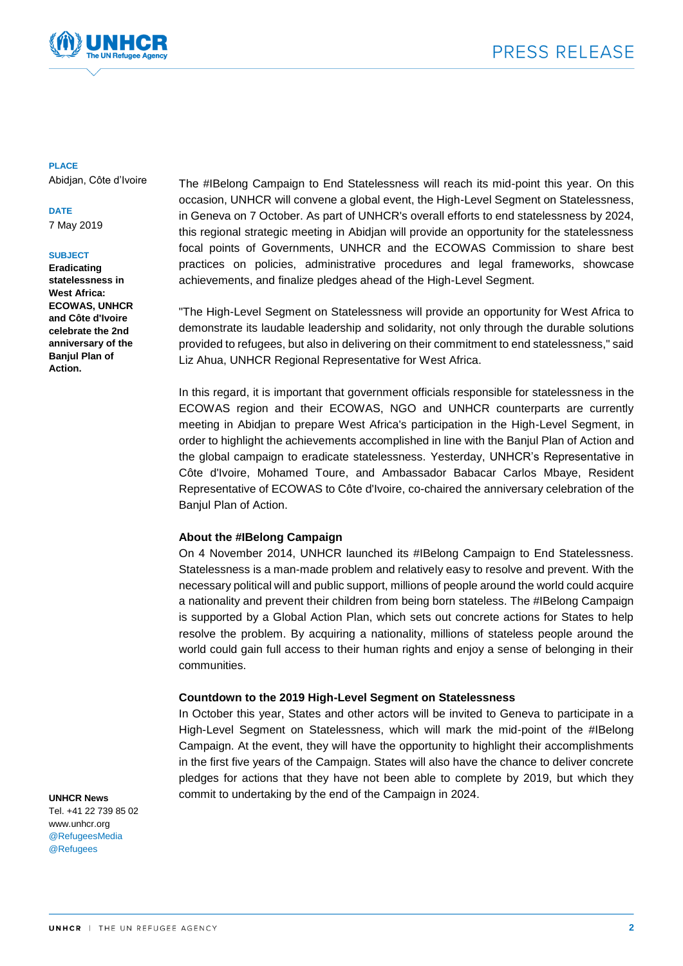

### **PLACE**

Abidjan, Côte d'Ivoire

### **DATE**

7 May 2019

### **SUBJECT**

**Eradicating statelessness in West Africa: ECOWAS, UNHCR and Côte d'Ivoire celebrate the 2nd anniversary of the Banjul Plan of Action.**

The #IBelong Campaign to End Statelessness will reach its mid-point this year. On this occasion, UNHCR will convene a global event, the High-Level Segment on Statelessness, in Geneva on 7 October. As part of UNHCR's overall efforts to end statelessness by 2024, this regional strategic meeting in Abidjan will provide an opportunity for the statelessness focal points of Governments, UNHCR and the ECOWAS Commission to share best practices on policies, administrative procedures and legal frameworks, showcase achievements, and finalize pledges ahead of the High-Level Segment.

"The High-Level Segment on Statelessness will provide an opportunity for West Africa to demonstrate its laudable leadership and solidarity, not only through the durable solutions provided to refugees, but also in delivering on their commitment to end statelessness," said Liz Ahua, UNHCR Regional Representative for West Africa.

In this regard, it is important that government officials responsible for statelessness in the ECOWAS region and their ECOWAS, NGO and UNHCR counterparts are currently meeting in Abidjan to prepare West Africa's participation in the High-Level Segment, in order to highlight the achievements accomplished in line with the Banjul Plan of Action and the global campaign to eradicate statelessness. Yesterday, UNHCR's Representative in Côte d'Ivoire, Mohamed Toure, and Ambassador Babacar Carlos Mbaye, Resident Representative of ECOWAS to Côte d'Ivoire, co-chaired the anniversary celebration of the Banjul Plan of Action.

### **About the #IBelong Campaign**

On 4 November 2014, UNHCR launched its #IBelong Campaign to End Statelessness. Statelessness is a man-made problem and relatively easy to resolve and prevent. With the necessary political will and public support, millions of people around the world could acquire a nationality and prevent their children from being born stateless. The #IBelong Campaign is supported by a Global Action Plan, which sets out concrete actions for States to help resolve the problem. By acquiring a nationality, millions of stateless people around the world could gain full access to their human rights and enjoy a sense of belonging in their communities.

### **Countdown to the 2019 High-Level Segment on Statelessness**

In October this year, States and other actors will be invited to Geneva to participate in a High-Level Segment on Statelessness, which will mark the mid-point of the #IBelong Campaign. At the event, they will have the opportunity to highlight their accomplishments in the first five years of the Campaign. States will also have the chance to deliver concrete pledges for actions that they have not been able to complete by 2019, but which they commit to undertaking by the end of the Campaign in 2024.

#### **UNHCR News**

Tel. +41 22 739 85 02 www.unhcr.org @RefugeesMedia @Refugees